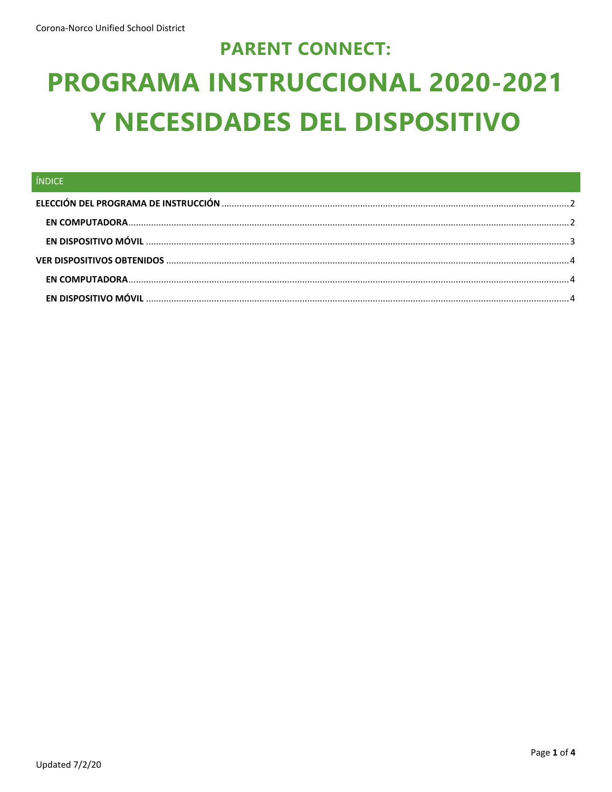# **PARENT CONNECT:** PROGRAMA INSTRUCCIONAL 2020-2021 Y NECESIDADES DEL DISPOSITIVO

| ÍNDICE |  |
|--------|--|
|        |  |
|        |  |
|        |  |
|        |  |
|        |  |
|        |  |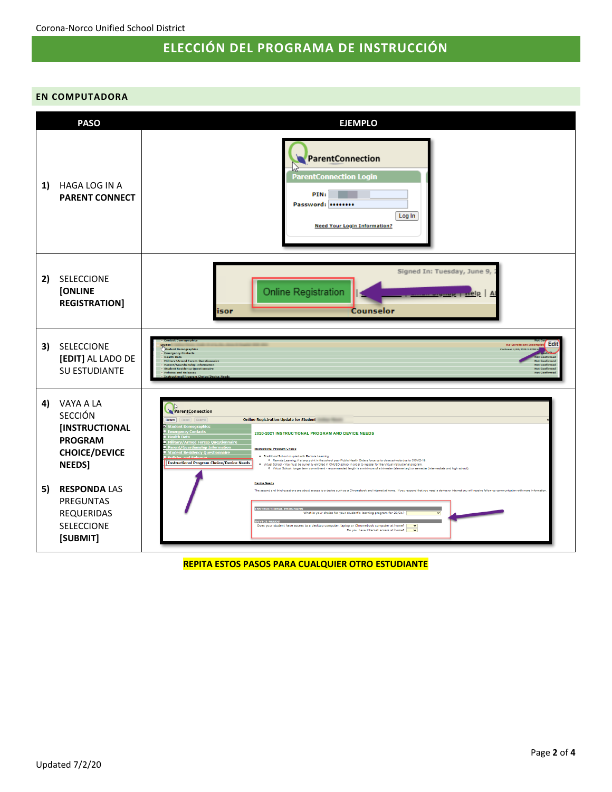## **ELECCIÓN DEL PROGRAMA DE INSTRUCCIÓN**

#### <span id="page-1-1"></span><span id="page-1-0"></span>**EN COMPUTADORA**



**REPITA ESTOS PASOS PARA CUALQUIER OTRO ESTUDIANTE**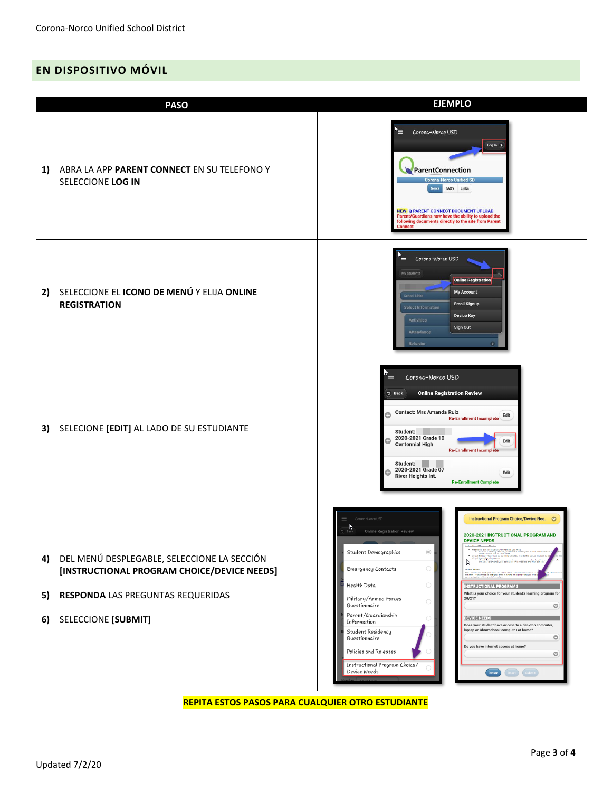## <span id="page-2-0"></span>**EN DISPOSITIVO MÓVIL**

|                | <b>PASO</b>                                                                                                                                            | <b>EJEMPLO</b>                                                                                                                                                                                                                                                                                                                                                                                                                                                                                                                                                                                                                                                                                                                                                                                                                                                                                                                                                                                                                                                                                                                                                                    |
|----------------|--------------------------------------------------------------------------------------------------------------------------------------------------------|-----------------------------------------------------------------------------------------------------------------------------------------------------------------------------------------------------------------------------------------------------------------------------------------------------------------------------------------------------------------------------------------------------------------------------------------------------------------------------------------------------------------------------------------------------------------------------------------------------------------------------------------------------------------------------------------------------------------------------------------------------------------------------------------------------------------------------------------------------------------------------------------------------------------------------------------------------------------------------------------------------------------------------------------------------------------------------------------------------------------------------------------------------------------------------------|
| 1)             | ABRA LA APP PARENT CONNECT EN SU TELEFONO Y<br>SELECCIONE LOG IN                                                                                       | $\equiv$ Corona-Norco USD<br>Log In $\rightarrow$<br>ParentConnection<br><b>Corona-Norco Unified SD</b><br>News FAQ's Links<br><b>NEW: Q PARENT CONNECT DOCUMENT UPLOAD</b><br>Parent/Guardians now have the ability to upload the<br>following documents directly to the site from Parent<br><b>Connect</b>                                                                                                                                                                                                                                                                                                                                                                                                                                                                                                                                                                                                                                                                                                                                                                                                                                                                      |
| 2)             | SELECCIONE EL ICONO DE MENÚ Y ELIJA ONLINE<br><b>REGISTRATION</b>                                                                                      | `≡<br>Corona-Norco USD<br>My Students<br><b>Online Registration</b><br><b>My Account</b><br>School Links<br><b>Email Signup</b><br><b>Select Information</b><br><b>Device Key</b><br><b>Activities</b><br><b>Sign Out</b><br>Attendance<br><b>Behavior</b>                                                                                                                                                                                                                                                                                                                                                                                                                                                                                                                                                                                                                                                                                                                                                                                                                                                                                                                        |
| 3)             | SELECIONE [EDIT] AL LADO DE SU ESTUDIANTE                                                                                                              | Corona-Norco USD<br><b>Online Registration Review</b><br>5 Back<br>Contact: Mrs Amanda Ruiz<br>Edit<br><b>Re-Enrollment Incomplete</b><br>Student:<br>2020-2021 Grade 10<br>Edit<br><b>Centennial High</b><br><b>Re-Enrollment Incomplete</b><br>Student:<br>2020-2021 Grade 07<br>o<br>Edit<br><b>River Heights Int.</b><br><b>Re-Enrollment Complete</b>                                                                                                                                                                                                                                                                                                                                                                                                                                                                                                                                                                                                                                                                                                                                                                                                                        |
| 4)<br>5)<br>6) | DEL MENÚ DESPLEGABLE, SELECCIONE LA SECCIÓN<br>[INSTRUCTIONAL PROGRAM CHOICE/DEVICE NEEDS]<br>RESPONDA LAS PREGUNTAS REQUERIDAS<br>SELECCIONE [SUBMIT] | Corona-Morco USD<br>Instructional Program Choice/Device Nee ©<br><b>Online Registration Review</b><br>2020-2021 INSTRUCTIONAL PROGRAM AND<br><b>DEVICE NEEDS</b><br>tional Cohool coupled with Mamota Learning<br>- Remote Learning: If at any point in the astroni year f<br>- disce someone due to Stringhton, Indiana<br>- disclosed - Yearness for secretary arrested in CNUSC v<br>$\circledcirc$<br>Student Demographics<br>Virtual School: Innger term commitment - recommended length /<br>Pimaster (slamentery) or samaster (misrmalista and high school<br>ß<br>$\bigcirc$<br><b>Emergency Contacts</b><br>$\bigcirc$<br>Health Data<br><b>INSTRUCTIONAL PROGRAM</b><br>What is your choice for your student's learning program for<br>Military/Armed Forces<br>20/21?<br>$\bigcirc$<br>Questionnaire<br>$\circ$<br>Parent/Guardianship<br><b>DEVICE NEEDS</b><br>Information<br>Does your student have access to a desktop computer,<br>laptop or Chromebook computer at home?<br>Student Residency<br>$\circ$<br>Questionnaire<br>Do you have internet access at home?<br>Policies and Releases<br>$\circ$<br>Instructional Program Choice/<br>Device Needs<br>Return |

#### **REPITA ESTOS PASOS PARA CUALQUIER OTRO ESTUDIANTE**